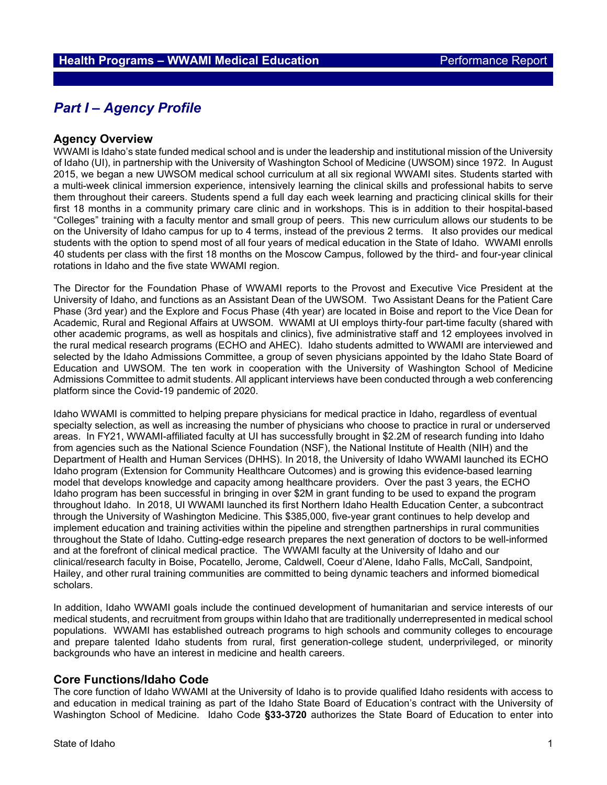# *Part I – Agency Profile*

## **Agency Overview**

WWAMI is Idaho's state funded medical school and is under the leadership and institutional mission of the University of Idaho (UI), in partnership with the University of Washington School of Medicine (UWSOM) since 1972. In August 2015, we began a new UWSOM medical school curriculum at all six regional WWAMI sites. Students started with a multi-week clinical immersion experience, intensively learning the clinical skills and professional habits to serve them throughout their careers. Students spend a full day each week learning and practicing clinical skills for their first 18 months in a community primary care clinic and in workshops. This is in addition to their hospital-based "Colleges" training with a faculty mentor and small group of peers. This new curriculum allows our students to be on the University of Idaho campus for up to 4 terms, instead of the previous 2 terms. It also provides our medical students with the option to spend most of all four years of medical education in the State of Idaho. WWAMI enrolls 40 students per class with the first 18 months on the Moscow Campus, followed by the third- and four-year clinical rotations in Idaho and the five state WWAMI region.

The Director for the Foundation Phase of WWAMI reports to the Provost and Executive Vice President at the University of Idaho, and functions as an Assistant Dean of the UWSOM. Two Assistant Deans for the Patient Care Phase (3rd year) and the Explore and Focus Phase (4th year) are located in Boise and report to the Vice Dean for Academic, Rural and Regional Affairs at UWSOM. WWAMI at UI employs thirty-four part-time faculty (shared with other academic programs, as well as hospitals and clinics), five administrative staff and 12 employees involved in the rural medical research programs (ECHO and AHEC). Idaho students admitted to WWAMI are interviewed and selected by the Idaho Admissions Committee, a group of seven physicians appointed by the Idaho State Board of Education and UWSOM. The ten work in cooperation with the University of Washington School of Medicine Admissions Committee to admit students. All applicant interviews have been conducted through a web conferencing platform since the Covid-19 pandemic of 2020.

Idaho WWAMI is committed to helping prepare physicians for medical practice in Idaho, regardless of eventual specialty selection, as well as increasing the number of physicians who choose to practice in rural or underserved areas. In FY21, WWAMI-affiliated faculty at UI has successfully brought in \$2.2M of research funding into Idaho from agencies such as the National Science Foundation (NSF), the National Institute of Health (NIH) and the Department of Health and Human Services (DHHS). In 2018, the University of Idaho WWAMI launched its ECHO Idaho program (Extension for Community Healthcare Outcomes) and is growing this evidence-based learning model that develops knowledge and capacity among healthcare providers. Over the past 3 years, the ECHO Idaho program has been successful in bringing in over \$2M in grant funding to be used to expand the program throughout Idaho. In 2018, UI WWAMI launched its first Northern Idaho Health Education Center, a subcontract through the University of Washington Medicine. This \$385,000, five-year grant continues to help develop and implement education and training activities within the pipeline and strengthen partnerships in rural communities throughout the State of Idaho. Cutting-edge research prepares the next generation of doctors to be well-informed and at the forefront of clinical medical practice. The WWAMI faculty at the University of Idaho and our clinical/research faculty in Boise, Pocatello, Jerome, Caldwell, Coeur d'Alene, Idaho Falls, McCall, Sandpoint, Hailey, and other rural training communities are committed to being dynamic teachers and informed biomedical scholars.

In addition, Idaho WWAMI goals include the continued development of humanitarian and service interests of our medical students, and recruitment from groups within Idaho that are traditionally underrepresented in medical school populations. WWAMI has established outreach programs to high schools and community colleges to encourage and prepare talented Idaho students from rural, first generation-college student, underprivileged, or minority backgrounds who have an interest in medicine and health careers.

#### **Core Functions/Idaho Code**

The core function of Idaho WWAMI at the University of Idaho is to provide qualified Idaho residents with access to and education in medical training as part of the Idaho State Board of Education's contract with the University of Washington School of Medicine. Idaho Code **§33-3720** authorizes the State Board of Education to enter into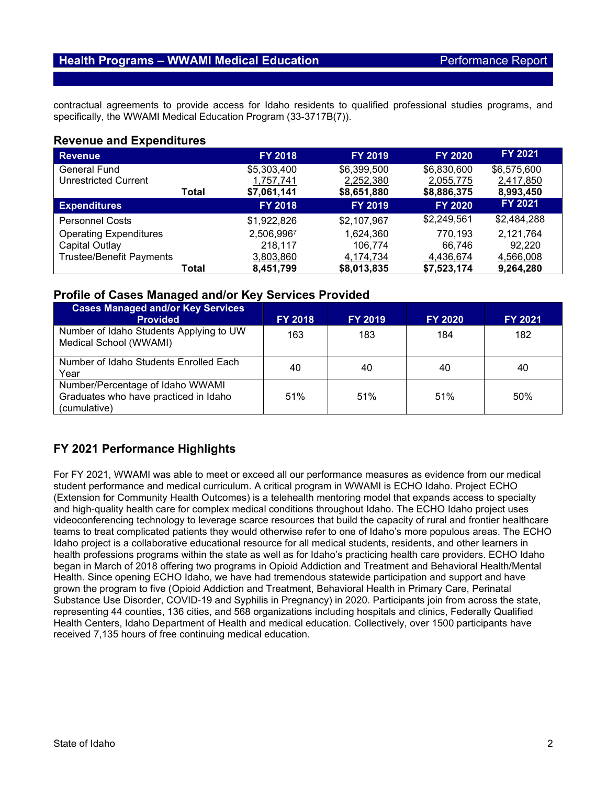# **Health Programs – WWAMI Medical Education Performance Report**

contractual agreements to provide access for Idaho residents to qualified professional studies programs, and specifically, the WWAMI Medical Education Program (33-3717B(7)).

## **Revenue and Expenditures**

| Revenue                         |       | <b>FY 2018</b> | <b>FY 2019</b> | <b>FY 2020</b> | FY 2021     |
|---------------------------------|-------|----------------|----------------|----------------|-------------|
| General Fund                    |       | \$5,303,400    | \$6,399,500    | \$6,830,600    | \$6,575,600 |
| <b>Unrestricted Current</b>     |       | 1,757,741      | 2,252,380      | 2,055,775      | 2,417,850   |
|                                 | Total | \$7,061,141    | \$8,651,880    | \$8,886,375    | 8,993,450   |
| <b>Expenditures</b>             |       | <b>FY 2018</b> | <b>FY 2019</b> | <b>FY 2020</b> | FY 2021     |
| <b>Personnel Costs</b>          |       | \$1,922,826    | \$2,107,967    | \$2,249,561    | \$2,484,288 |
| <b>Operating Expenditures</b>   |       | 2,506,9967     | 1,624,360      | 770.193        | 2,121,764   |
| Capital Outlay                  |       | 218,117        | 106.774        | 66,746         | 92.220      |
| <b>Trustee/Benefit Payments</b> |       | 3,803,860      | 4,174,734      | 4,436,674      | 4,566,008   |
|                                 | Total | 8,451,799      | \$8,013,835    | \$7,523,174    | 9,264,280   |

## **Profile of Cases Managed and/or Key Services Provided**

| <b>Cases Managed and/or Key Services</b><br><b>Provided</b>                               | <b>FY 2018</b> | <b>FY 2019</b> | <b>FY 2020</b> | <b>FY 2021</b> |
|-------------------------------------------------------------------------------------------|----------------|----------------|----------------|----------------|
| Number of Idaho Students Applying to UW<br>Medical School (WWAMI)                         | 163            | 183            | 184            | 182            |
| Number of Idaho Students Enrolled Each<br>Year                                            | 40             | 40             | 40             | 40             |
| Number/Percentage of Idaho WWAMI<br>Graduates who have practiced in Idaho<br>(cumulative) | 51%            | 51%            | 51%            | 50%            |

# **FY 2021 Performance Highlights**

For FY 2021, WWAMI was able to meet or exceed all our performance measures as evidence from our medical student performance and medical curriculum. A critical program in WWAMI is ECHO Idaho. Project ECHO (Extension for Community Health Outcomes) is a telehealth mentoring model that expands access to specialty and high-quality health care for complex medical conditions throughout Idaho. The ECHO Idaho project uses videoconferencing technology to leverage scarce resources that build the capacity of rural and frontier healthcare teams to treat complicated patients they would otherwise refer to one of Idaho's more populous areas. The ECHO Idaho project is a collaborative educational resource for all medical students, residents, and other learners in health professions programs within the state as well as for Idaho's practicing health care providers. ECHO Idaho began in March of 2018 offering two programs in Opioid Addiction and Treatment and Behavioral Health/Mental Health. Since opening ECHO Idaho, we have had tremendous statewide participation and support and have grown the program to five (Opioid Addiction and Treatment, Behavioral Health in Primary Care, Perinatal Substance Use Disorder, COVID-19 and Syphilis in Pregnancy) in 2020. Participants join from across the state, representing 44 counties, 136 cities, and 568 organizations including hospitals and clinics, Federally Qualified Health Centers, Idaho Department of Health and medical education. Collectively, over 1500 participants have received 7,135 hours of free continuing medical education.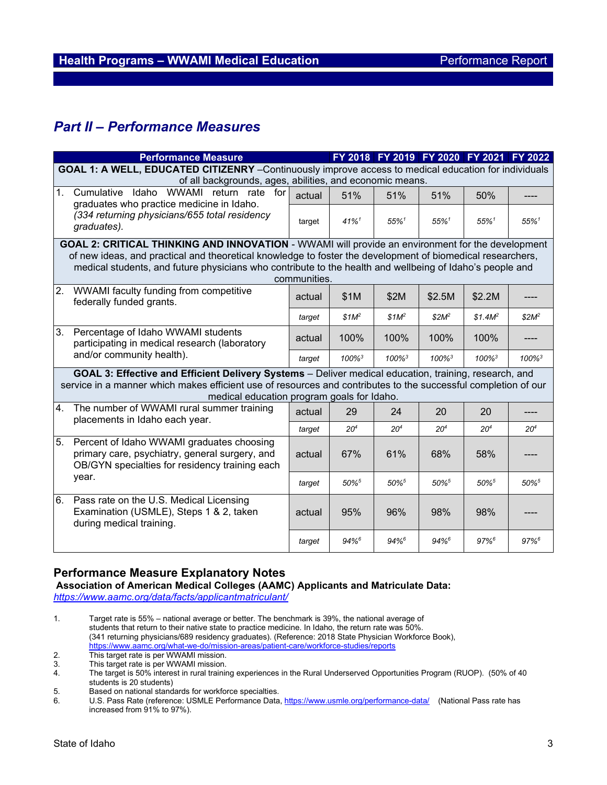# *Part II – Performance Measures*

|                                                                                                                                                                                                                                                                       | <b>Performance Measure</b>                                                                                                                    |        |                     |                      |                      | FY 2018 FY 2019 FY 2020 FY 2021 FY 2022 |                      |  |  |
|-----------------------------------------------------------------------------------------------------------------------------------------------------------------------------------------------------------------------------------------------------------------------|-----------------------------------------------------------------------------------------------------------------------------------------------|--------|---------------------|----------------------|----------------------|-----------------------------------------|----------------------|--|--|
| GOAL 1: A WELL, EDUCATED CITIZENRY - Continuously improve access to medical education for individuals                                                                                                                                                                 |                                                                                                                                               |        |                     |                      |                      |                                         |                      |  |  |
| of all backgrounds, ages, abilities, and economic means.                                                                                                                                                                                                              |                                                                                                                                               |        |                     |                      |                      |                                         |                      |  |  |
| 1 <sub>1</sub>                                                                                                                                                                                                                                                        | WWAMI return rate for<br>Cumulative Idaho                                                                                                     | actual | 51%                 | 51%                  | 51%                  | 50%                                     |                      |  |  |
|                                                                                                                                                                                                                                                                       | graduates who practice medicine in Idaho.<br>(334 returning physicians/655 total residency<br>graduates).                                     | target | $41\%$ <sup>1</sup> | $55\%$ <sup>1</sup>  | $55\%$ <sup>1</sup>  | $55\%$ <sup>1</sup>                     | $55\%$ <sup>1</sup>  |  |  |
| <b>GOAL 2: CRITICAL THINKING AND INNOVATION - WWAMI will provide an environment for the development</b>                                                                                                                                                               |                                                                                                                                               |        |                     |                      |                      |                                         |                      |  |  |
| of new ideas, and practical and theoretical knowledge to foster the development of biomedical researchers,<br>medical students, and future physicians who contribute to the health and wellbeing of Idaho's people and<br>communities.                                |                                                                                                                                               |        |                     |                      |                      |                                         |                      |  |  |
| $\overline{2}$ .                                                                                                                                                                                                                                                      | WWAMI faculty funding from competitive<br>federally funded grants.                                                                            | actual | \$1M                | \$2M                 | \$2.5M               | \$2.2M                                  |                      |  |  |
|                                                                                                                                                                                                                                                                       |                                                                                                                                               | target | $$1M^2$             | \$1M <sup>2</sup>    | $$2M^2$              | \$1.4M <sup>2</sup>                     | $$2M^2$              |  |  |
| 3.                                                                                                                                                                                                                                                                    | Percentage of Idaho WWAMI students<br>participating in medical research (laboratory                                                           | actual | 100%                | 100%                 | 100%                 | 100%                                    |                      |  |  |
|                                                                                                                                                                                                                                                                       | and/or community health).                                                                                                                     | target | 100% <sup>3</sup>   | $100\%$ <sup>3</sup> | $100\%$ <sup>3</sup> | $100\%$ <sup>3</sup>                    | $100\%$ <sup>3</sup> |  |  |
| GOAL 3: Effective and Efficient Delivery Systems - Deliver medical education, training, research, and<br>service in a manner which makes efficient use of resources and contributes to the successful completion of our<br>medical education program goals for Idaho. |                                                                                                                                               |        |                     |                      |                      |                                         |                      |  |  |
| 4.                                                                                                                                                                                                                                                                    | The number of WWAMI rural summer training<br>placements in Idaho each year.                                                                   | actual | 29                  | 24                   | 20                   | 20                                      |                      |  |  |
|                                                                                                                                                                                                                                                                       |                                                                                                                                               | target | $20^{4}$            | 20 <sup>4</sup>      | 20 <sup>4</sup>      | 20 <sup>4</sup>                         | 20 <sup>4</sup>      |  |  |
| 5.                                                                                                                                                                                                                                                                    | Percent of Idaho WWAMI graduates choosing<br>primary care, psychiatry, general surgery, and<br>OB/GYN specialties for residency training each | actual | 67%                 | 61%                  | 68%                  | 58%                                     |                      |  |  |
| year.                                                                                                                                                                                                                                                                 |                                                                                                                                               | target | $50\%$ <sup>5</sup> | $50\%$ <sup>5</sup>  | $50\%$ <sup>5</sup>  | $50\%$ <sup>5</sup>                     | $50\%$ <sup>5</sup>  |  |  |
| 6.                                                                                                                                                                                                                                                                    | Pass rate on the U.S. Medical Licensing<br>Examination (USMLE), Steps 1 & 2, taken<br>during medical training.                                | actual | 95%                 | 96%                  | 98%                  | 98%                                     |                      |  |  |
|                                                                                                                                                                                                                                                                       |                                                                                                                                               | target | $94%^{6}$           | $94%^{6}$            | $94%^{6}$            | $97%^{6}$                               | $97%$ <sup>6</sup>   |  |  |

## **Performance Measure Explanatory Notes**

# **Association of American Medical Colleges (AAMC) Applicants and Matriculate Data:**

*<https://www.aamc.org/data/facts/applicantmatriculant/>*

1. Target rate is 55% – national average or better. The benchmark is 39%, the national average of students that return to their native state to practice medicine. In Idaho, the return rate was 50%. (341 returning physicians/689 residency graduates). (Reference: 2018 State Physician Workforce Book), <https://www.aamc.org/what-we-do/mission-areas/patient-care/workforce-studies/reports>

5. Based on national standards for workforce specialties.

<sup>2.</sup> This target rate is per WWAMI mission.<br>3 This target rate is per WWAMI mission

<sup>3.</sup> This target rate is per WWAMI mission.<br>4. The target is 50% interest in rural training

<sup>4.</sup> The target is 50% interest in rural training experiences in the Rural Underserved Opportunities Program (RUOP). (50% of 40 students is 20 students)

<sup>6.</sup> U.S. Pass Rate (reference: USMLE Performance Data,<https://www.usmle.org/performance-data/>(National Pass rate has increased from 91% to 97%).